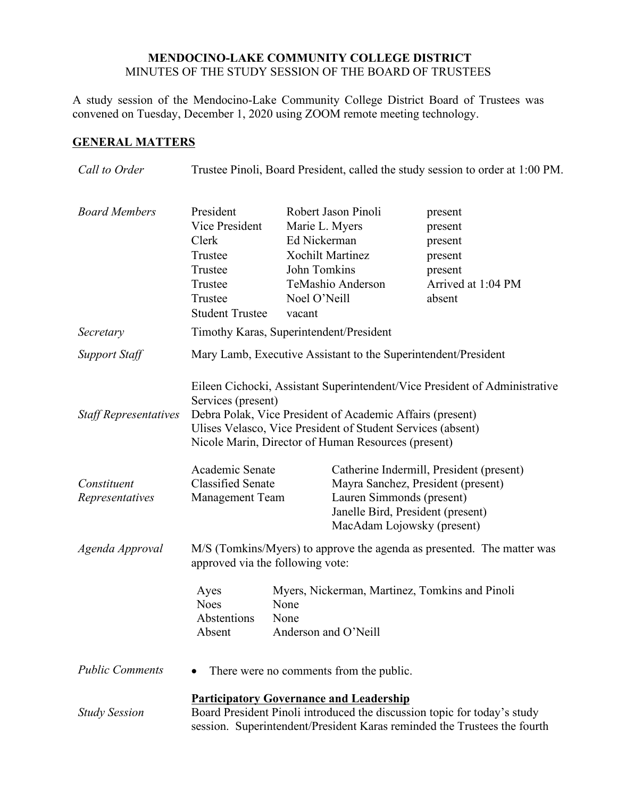## **MENDOCINO-LAKE COMMUNITY COLLEGE DISTRICT** MINUTES OF THE STUDY SESSION OF THE BOARD OF TRUSTEES

A study session of the Mendocino-Lake Community College District Board of Trustees was convened on Tuesday, December 1, 2020 using ZOOM remote meeting technology.

## **GENERAL MATTERS**

| Call to Order                  | Trustee Pinoli, Board President, called the study session to order at 1:00 PM.                                                                                                                                                                                                      |                                                                                                                                                 |                                                                                                                                                                                |                                                                                     |
|--------------------------------|-------------------------------------------------------------------------------------------------------------------------------------------------------------------------------------------------------------------------------------------------------------------------------------|-------------------------------------------------------------------------------------------------------------------------------------------------|--------------------------------------------------------------------------------------------------------------------------------------------------------------------------------|-------------------------------------------------------------------------------------|
| <b>Board Members</b>           | President<br>Vice President<br>Clerk<br>Trustee<br>Trustee<br>Trustee<br>Trustee<br><b>Student Trustee</b>                                                                                                                                                                          | Robert Jason Pinoli<br>Marie L. Myers<br>Ed Nickerman<br><b>Xochilt Martinez</b><br>John Tomkins<br>TeMashio Anderson<br>Noel O'Neill<br>vacant |                                                                                                                                                                                | present<br>present<br>present<br>present<br>present<br>Arrived at 1:04 PM<br>absent |
| Secretary                      | Timothy Karas, Superintendent/President                                                                                                                                                                                                                                             |                                                                                                                                                 |                                                                                                                                                                                |                                                                                     |
| Support Staff                  | Mary Lamb, Executive Assistant to the Superintendent/President                                                                                                                                                                                                                      |                                                                                                                                                 |                                                                                                                                                                                |                                                                                     |
| <b>Staff Representatives</b>   | Eileen Cichocki, Assistant Superintendent/Vice President of Administrative<br>Services (present)<br>Debra Polak, Vice President of Academic Affairs (present)<br>Ulises Velasco, Vice President of Student Services (absent)<br>Nicole Marin, Director of Human Resources (present) |                                                                                                                                                 |                                                                                                                                                                                |                                                                                     |
| Constituent<br>Representatives | Academic Senate<br><b>Classified Senate</b><br><b>Management Team</b>                                                                                                                                                                                                               |                                                                                                                                                 | Catherine Indermill, President (present)<br>Mayra Sanchez, President (present)<br>Lauren Simmonds (present)<br>Janelle Bird, President (present)<br>MacAdam Lojowsky (present) |                                                                                     |
| Agenda Approval                | M/S (Tomkins/Myers) to approve the agenda as presented. The matter was<br>approved via the following vote:                                                                                                                                                                          |                                                                                                                                                 |                                                                                                                                                                                |                                                                                     |
|                                | Ayes<br><b>Noes</b><br>Abstentions<br>Absent                                                                                                                                                                                                                                        | None<br>None                                                                                                                                    | Myers, Nickerman, Martinez, Tomkins and Pinoli<br>Anderson and O'Neill                                                                                                         |                                                                                     |
| <b>Public Comments</b>         | There were no comments from the public.                                                                                                                                                                                                                                             |                                                                                                                                                 |                                                                                                                                                                                |                                                                                     |
| <b>Study Session</b>           | <b>Participatory Governance and Leadership</b><br>Board President Pinoli introduced the discussion topic for today's study<br>session. Superintendent/President Karas reminded the Trustees the fourth                                                                              |                                                                                                                                                 |                                                                                                                                                                                |                                                                                     |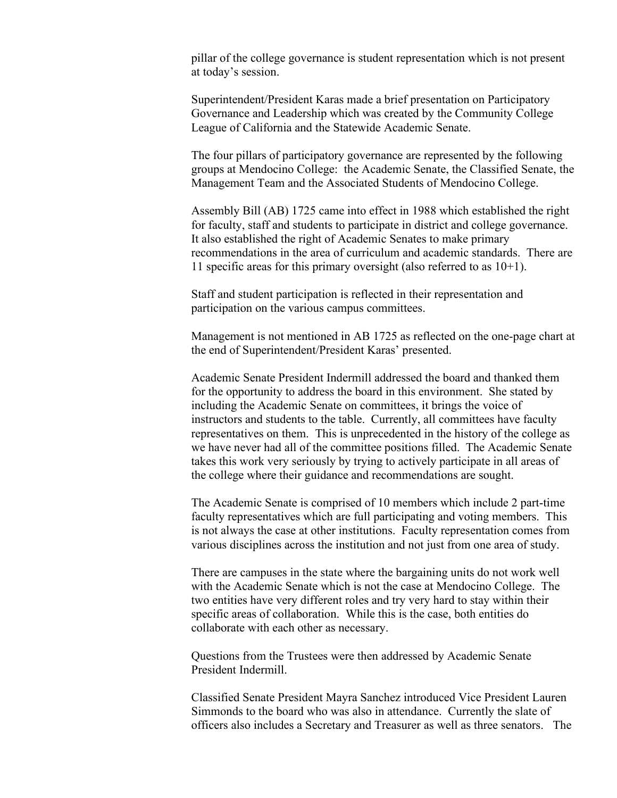pillar of the college governance is student representation which is not present at today's session.

Superintendent/President Karas made a brief presentation on Participatory Governance and Leadership which was created by the Community College League of California and the Statewide Academic Senate.

The four pillars of participatory governance are represented by the following groups at Mendocino College: the Academic Senate, the Classified Senate, the Management Team and the Associated Students of Mendocino College.

Assembly Bill (AB) 1725 came into effect in 1988 which established the right for faculty, staff and students to participate in district and college governance. It also established the right of Academic Senates to make primary recommendations in the area of curriculum and academic standards. There are 11 specific areas for this primary oversight (also referred to as  $10+1$ ).

Staff and student participation is reflected in their representation and participation on the various campus committees.

Management is not mentioned in AB 1725 as reflected on the one-page chart at the end of Superintendent/President Karas' presented.

Academic Senate President Indermill addressed the board and thanked them for the opportunity to address the board in this environment. She stated by including the Academic Senate on committees, it brings the voice of instructors and students to the table. Currently, all committees have faculty representatives on them. This is unprecedented in the history of the college as we have never had all of the committee positions filled. The Academic Senate takes this work very seriously by trying to actively participate in all areas of the college where their guidance and recommendations are sought.

The Academic Senate is comprised of 10 members which include 2 part-time faculty representatives which are full participating and voting members. This is not always the case at other institutions. Faculty representation comes from various disciplines across the institution and not just from one area of study.

There are campuses in the state where the bargaining units do not work well with the Academic Senate which is not the case at Mendocino College. The two entities have very different roles and try very hard to stay within their specific areas of collaboration. While this is the case, both entities do collaborate with each other as necessary.

Questions from the Trustees were then addressed by Academic Senate President Indermill.

Classified Senate President Mayra Sanchez introduced Vice President Lauren Simmonds to the board who was also in attendance. Currently the slate of officers also includes a Secretary and Treasurer as well as three senators. The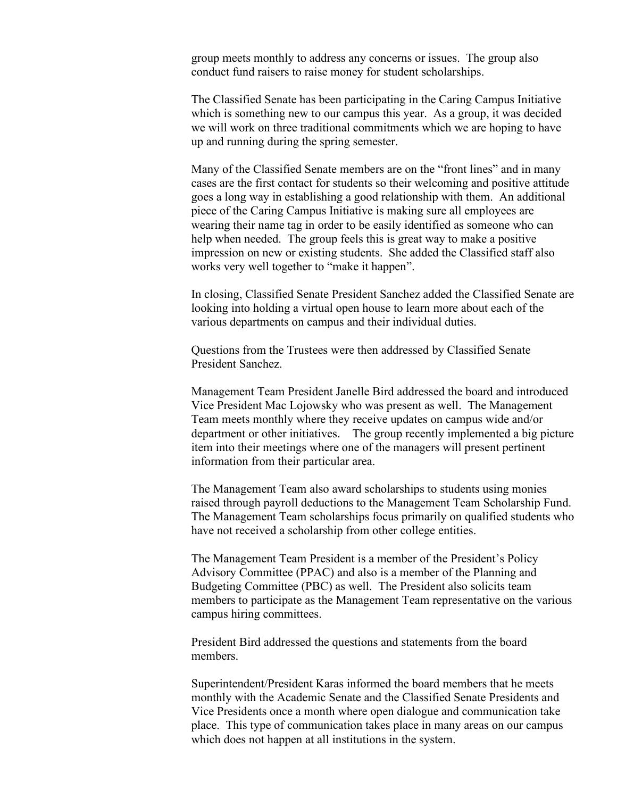group meets monthly to address any concerns or issues. The group also conduct fund raisers to raise money for student scholarships.

The Classified Senate has been participating in the Caring Campus Initiative which is something new to our campus this year. As a group, it was decided we will work on three traditional commitments which we are hoping to have up and running during the spring semester.

Many of the Classified Senate members are on the "front lines" and in many cases are the first contact for students so their welcoming and positive attitude goes a long way in establishing a good relationship with them. An additional piece of the Caring Campus Initiative is making sure all employees are wearing their name tag in order to be easily identified as someone who can help when needed. The group feels this is great way to make a positive impression on new or existing students. She added the Classified staff also works very well together to "make it happen".

In closing, Classified Senate President Sanchez added the Classified Senate are looking into holding a virtual open house to learn more about each of the various departments on campus and their individual duties.

Questions from the Trustees were then addressed by Classified Senate President Sanchez.

Management Team President Janelle Bird addressed the board and introduced Vice President Mac Lojowsky who was present as well. The Management Team meets monthly where they receive updates on campus wide and/or department or other initiatives. The group recently implemented a big picture item into their meetings where one of the managers will present pertinent information from their particular area.

The Management Team also award scholarships to students using monies raised through payroll deductions to the Management Team Scholarship Fund. The Management Team scholarships focus primarily on qualified students who have not received a scholarship from other college entities.

The Management Team President is a member of the President's Policy Advisory Committee (PPAC) and also is a member of the Planning and Budgeting Committee (PBC) as well. The President also solicits team members to participate as the Management Team representative on the various campus hiring committees.

President Bird addressed the questions and statements from the board members.

Superintendent/President Karas informed the board members that he meets monthly with the Academic Senate and the Classified Senate Presidents and Vice Presidents once a month where open dialogue and communication take place. This type of communication takes place in many areas on our campus which does not happen at all institutions in the system.